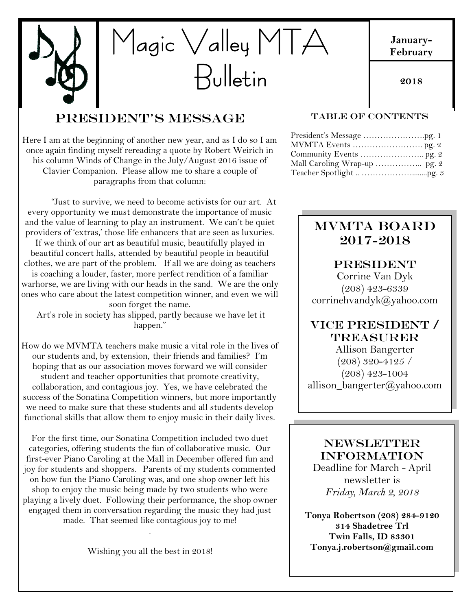

**January-February**

**2018**

# President's Message

Here I am at the beginning of another new year, and as I do so I am once again finding myself rereading a quote by Robert Weirich in his column Winds of Change in the July/August 2016 issue of Clavier Companion. Please allow me to share a couple of paragraphs from that column:

"Just to survive, we need to become activists for our art. At every opportunity we must demonstrate the importance of music and the value of learning to play an instrument. We can't be quiet providers of 'extras,' those life enhancers that are seen as luxuries.

If we think of our art as beautiful music, beautifully played in beautiful concert halls, attended by beautiful people in beautiful clothes, we are part of the problem. If all we are doing as teachers is coaching a louder, faster, more perfect rendition of a familiar warhorse, we are living with our heads in the sand. We are the only ones who care about the latest competition winner, and even we will soon forget the name.

Art's role in society has slipped, partly because we have let it happen."

How do we MVMTA teachers make music a vital role in the lives of our students and, by extension, their friends and families? I'm hoping that as our association moves forward we will consider student and teacher opportunities that promote creativity, collaboration, and contagious joy. Yes, we have celebrated the success of the Sonatina Competition winners, but more importantly we need to make sure that these students and all students develop functional skills that allow them to enjoy music in their daily lives.

For the first time, our Sonatina Competition included two duet categories, offering students the fun of collaborative music. Our first-ever Piano Caroling at the Mall in December offered fun and joy for students and shoppers. Parents of my students commented on how fun the Piano Caroling was, and one shop owner left his shop to enjoy the music being made by two students who were playing a lively duet. Following their performance, the shop owner engaged them in conversation regarding the music they had just made. That seemed like contagious joy to me!

Wishing you all the best in 2018!

.

#### TABLE OF CONTENTS

# MVMTA Board 2017-2018

#### **PRESIDENT**

Corrine Van Dyk (208) 423-6339 corrinehvandyk@yahoo.com

## VICE PRESIDENT / Treasurer

allison\_bangerter@yahoo.com  $\overline{\phantom{a}}$  o  $\overline{\phantom{a}}$ Allison Bangerter (208) 320-4125 / (208) 423-1004

### **NEWSLETTER** INFORMATION

Deadline for March - April newsletter is *Friday, March 2, 2018*

**Tonya Robertson (208) 284-9120 314 Shadetree Trl Twin Falls, ID 83301 Tonya.j.robertson@gmail.com**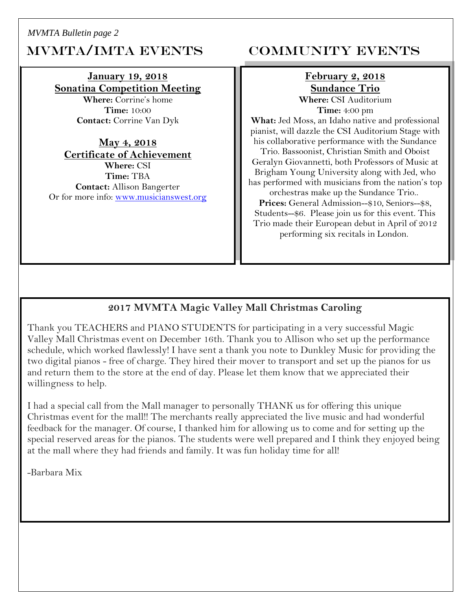*MVMTA Bulletin page 2*

# MVMTA/IMTA EVENTS COMMUNITY EVENTS

#### **January 19, 2018 Sonatina Competition Meeting**

**Where:** Corrine's home **Time:** 10:00 **Contact:** Corrine Van Dyk

**May 4, 2018 Certificate of Achievement Where:** CSI **Time:** TBA **Contact:** Allison Bangerter Or for more info: [www.musicianswest.org](http://www.musicianswest.org/)

# **February 2, 2018 Sundance Trio**

**Where:** CSI Auditorium **Time:** 4:00 pm

**What:** Jed Moss, an Idaho native and professional pianist, will dazzle the CSI Auditorium Stage with his collaborative performance with the Sundance Trio. Bassoonist, Christian Smith and Oboist Geralyn Giovannetti, both Professors of Music at Brigham Young University along with Jed, who has performed with musicians from the nation's top orchestras make up the Sundance Trio.. **Prices:** General Admission--\$10, Seniors--\$8, Students--\$6. Please join us for this event. This Trio made their European debut in April of 2012 performing six recitals in London.

## **2017 MVMTA Magic Valley Mall Christmas Caroling**

Thank you TEACHERS and PIANO STUDENTS for participating in a very successful Magic Valley Mall Christmas event on December 16th. Thank you to Allison who set up the performance schedule, which worked flawlessly! I have sent a thank you note to Dunkley Music for providing the two digital pianos - free of charge. They hired their mover to transport and set up the pianos for us and return them to the store at the end of day. Please let them know that we appreciated their willingness to help.

I had a special call from the Mall manager to personally THANK us for offering this unique Christmas event for the mall!! The merchants really appreciated the live music and had wonderful feedback for the manager. Of course, I thanked him for allowing us to come and for setting up the special reserved areas for the pianos. The students were well prepared and I think they enjoyed being at the mall where they had friends and family. It was fun holiday time for all!

-Barbara Mix